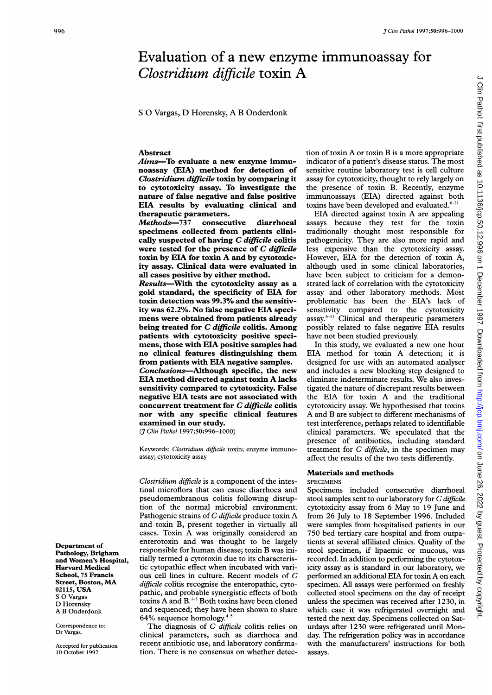# <sup>9 Clin Pathol 1997;50:996-1000</sup><br> **Evaluation of a new enzyme immunoassay for**<br> *Clostridium difficile* toxin A<br>
S O Vargas, D Horensky, A B Onderdonk<br> **Abstract** tion of toxin A or toxin B is a more appropriate Evaluation of a new enzyme immunoassay for Clostridium difficile toxin A

<sup>S</sup> 0 Vargas, D Horensky, A B Onderdonk

# Abstract

Aims-To evaluate a new enzyme immunoassay (EIA) method for detection of Clostridium difficile toxin by comparing it to cytotoxicity assay. To investigate the nature of false negative and false positive EIA results by evaluating clinical and therapeutic parameters.

Methods-737 consecutive diarrhoeal specimens collected from patients clinically suspected of having C difficile colitis were tested for the presence of C difficile toxin by EIA for toxin A and by cytotoxicity assay. Clinical data were evaluated in all cases positive by either method.

Results-With the cytotoxicity assay as a gold standard, the specificity of EIA for toxin detection was 99.3% and the sensitivity was 62.2%. No false negative EIA specimens were obtained from patients already being treated for C difficile colitis. Among patients with cytotoxicity positive specimens, those with EIA positive samples had no clinical features distinguishing them from patients with EIA negative samples. Conclusions-Although specific, the new EIA method directed against toxin A lacks sensitivity compared to cytotoxicity. False negative EIA tests are not associated with concurrent treatment for C difficile colitis nor with any specific clinical features examined in our study.

(*J Clin Pathol* 1997;50:996-1000)

Keywords: Clostridium difficile toxin; enzyme immunoassay; cytotoxicity assay

Clostridium difficile is a component of the intestinal microflora that can cause diarrhoea and pseudomembranous colitis following disruption of the normal microbial environment. Pathogenic strains of C difficile produce toxin A and toxin B, present together in virtually all cases. Toxin A was originally considered an enterotoxin and was thought to be largely responsible for human disease; toxin B was initially termed a cytotoxin due to its characteristic cytopathic effect when incubated with various cell lines in culture. Recent models of C difficile colitis recognise the enteropathic, cytopathic, and probable synergistic effects of both toxins A and B.<sup>1-3</sup> Both toxins have been cloned and sequenced; they have been shown to share 64% sequence homology. $4.5$ 

The diagnosis of  $C$  difficile colitis relies on clinical parameters, such as diarrhoea and recent antibiotic use, and laboratory confirmation. There is no consensus on whether detec-

tion of toxin A or toxin B is <sup>a</sup> more appropriate indicator of a patient's disease status. The most sensitive routine laboratory test is cell culture assay for cytotoxicity, thought to rely largely on the presence of toxin B. Recently, enzyme immunoassays (EIA) directed against both toxins have been developed and evaluated. $6-21$ 

EIA directed against toxin A are appealing assays because they test for the toxin traditionally thought most responsible for pathogenicity. They are also more rapid and less expensive than the cytotoxicity assay. However, EIA for the detection of toxin A, although used in some clinical laboratories, have been subject to criticism for a demonstrated lack of correlation with the cytotoxicity assay and other laboratory methods. Most problematic has been the EIA's lack of sensitivity compared to the cytotoxicity assay.<sup>6-11</sup> Clinical and therapeutic parameters possibly related to false negative EIA results have not been studied previously.

In this study, we evaluated a new one hour EIA method for toxin A detection; it is designed for use with an automated analyser and includes a new blocking step designed to eliminate indeterminate results. We also investigated the nature of discrepant results between the EIA for toxin A and the traditional cytotoxicity assay. We hypothesised that toxins A and B are subject to different mechanisms of test interference, perhaps related to identifiable clinical parameters. We speculated that the presence of antibiotics, including standard treatment for C difficile, in the specimen may affect the results of the two tests differently.

# Materials and methods

SPECIMENS

Specimens included consecutive diarrhoeal stool samples sent to our laboratory for C difficile cytotoxicity assay from 6 May to 19 June and from 26 July to 18 September 1996. Included were samples from hospitalised patients in our 750 bed tertiary care hospital and from outpatients at several affiliated clinics. Quality of the stool specimen, if lipaemic or mucous, was recorded. In addition to performing the cytotoxicity assay as is standard in our laboratory, we performed an additional EIA for toxin A on each specimen. All assays were performed on freshly collected stool specimens on the day of receipt unless the specimen was received after 1230, in which case it was refrigerated overnight and tested the next day. Specimens collected on Saturdays after 1230 were refrigerated until Monday. The refrigeration policy was in accordance with the manufacturers' instructions for both assays.

Department of Pathology, Brigham and Women's Hospital, Harvard Medical School, 75 Francis Street, Boston, MA 02115, USA S 0 Vargas D Horensky A B Onderdonk

Correspondence to: Dr Vargas.

Accepted for publication 10 October 1997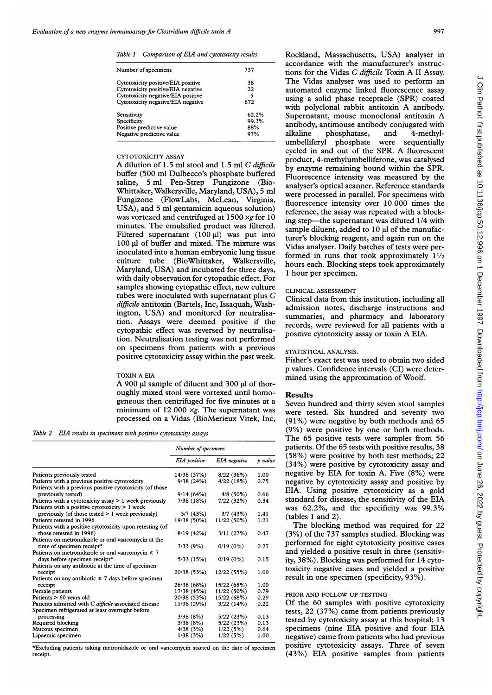Table 1 Comparison of EIA and cytotoxicity results

| Number of specimens                | 737   |  |
|------------------------------------|-------|--|
| Cytotoxicity positive/EIA positive | 38    |  |
| Cytotoxicity positive/EIA negative | 22    |  |
| Cytotoxicity negative/EIA positive | 5     |  |
| Cytotoxicity negative/EIA negative | 672   |  |
| Sensitivity                        | 62.2% |  |
| Specificity                        | 99.3% |  |
| Positive predictive value          | 88%   |  |
| Negative predictive value          | 97%   |  |
|                                    |       |  |

## CYTOTOXICITY ASSAY

A dilution of 1.5 ml stool and 1.5 ml C difficile buffer (500 ml Dulbecco's phosphate buffered saline, 5 ml Pen-Strep Fungizone (Bio-Whittaker, Walkersville, Maryland, USA), 5 ml Fungizone (FlowLabs, McLean, Virginia, USA), and 5 ml gentamicin aqueous solution) was vortexed and centrifuged at  $1500 \times g$  for 10 minutes. The emulsified product was filtered. Filtered supernatant  $(100 \text{ µ})$  was put into 100 µl of buffer and mixed. The mixture was inoculated into <sup>a</sup> human embryonic lung tissue culture tube (BioWhittaker, Walkersville, Maryland, USA) and incubated for three days, with daily observation for cytopathic effect. For samples showing cytopathic effect, new culture tubes were inoculated with supernatant plus C difficile antitoxin (Bartels, Inc, Issaquah, Washington, USA) and monitored for neutralisation. Assays were deemed positive if the cytopathic effect was reversed by neutralisation. Neutralisation testing was not performed on specimens from patients with a previous positive cytotoxicity assay within the past week.

### TOXIN A EIA

A 900 µl sample of diluent and 300 µl of thoroughly mixed stool were vortexed until homogeneous then centrifuged for five minutes at a minimum of 12 000  $\times g$ . The supernatant was processed on a Vidas (BioMerieux Vitek, Inc,

Table 2 EIA results in specimens with positive cytotoxicity assays

|                                                          | Number of specimens |              |         |
|----------------------------------------------------------|---------------------|--------------|---------|
|                                                          | EIA positive        | EIA negative | p value |
| Patients previously tested                               | 14/38 (37%)         | 8/22(36%)    | 1.00    |
| Patients with a previous positive cytotoxicity           | 9/38(24%)           | 4/22 (18%)   | 0.75    |
| Patients with a previous positive cytotoxicity (of those |                     |              |         |
| previously tested)                                       | 9/14(64%)           | $4/8(50\%)$  | 0.66    |
| Patients with a cytotoxicity assay > 1 week previously   | 7/38(18%)           | 7/22(32%)    | 0.34    |
| Patients with a positive cytotoxicity $> 1$ week         |                     |              |         |
| previously (of those tested $> 1$ week previously)       | 3/7(43%)            | 3/7(43%)     | 1.41    |
| Patients retested in 1996                                | 19/38 (50%)         | 11/22 (50%)  | 1.21    |
| Patients with a positive cytotoxicity upon retesting (of |                     |              |         |
| those retested in 1996)                                  | 8/19(42%)           | 3/11(27%)    | 0.47    |
| Patients on metronidazole or oral vancomycin at the      |                     |              |         |
| time of specimen receipt*                                | 3/33(9%)            | $0/19(0\%)$  | 0.27    |
| Patients on metronidazole or oral vancomycin $\leq 7$    |                     |              |         |
| days before specimen receipt*                            | 5/33 (15%)          | $0/19(0\%)$  | 0.15    |
| Patients on any antibiotic at the time of specimen       |                     |              |         |
| receipt                                                  | 20/38 (53%)         | 12/22 (55%)  | 1.00    |
| Patients on any antibiotic $\leq 7$ days before specimen |                     |              |         |
| receipt                                                  | 26/38 (68%)         | 15/22 (68%)  | 1.00    |
| Female patients                                          | 17/38 (45%)         | 11/22 (50%)  | 0.79    |
| Patients > 60 years old                                  | 20/38 (53%)         | 15/22 (68%)  | 0.29    |
| Patients admitted with C difficile associated disease    | 11/38 (29%)         | 3/22(14%)    | 0.22    |
| Specimen refrigerated at least overnight before          |                     |              |         |
| processing                                               | 3/38(8%)            | 5/22(23%)    | 0.13    |
| Required blocking                                        | 3/38(8%)            | 5/22 (23%)   | 0.13    |
| Mucous specimen                                          | 4/38(3%)            | 1/22(5%)     | 0.64    |
| Lipaemic specimen                                        | 1/38(3%)            | 1/22(5%)     | 1.00    |

\*Excluding patients taking metronidazole or oral vancomycin started on the date of specimen receipt.

Rockland, Massachusetts, USA) analyser in accordance with the manufacturer's instructions for the Vidas C difficile Toxin A II Assay. The Vidas analyser was used to perform an automated enzyme linked fluorescence assay using a solid phase receptacle (SPR) coated with polyclonal rabbit antitoxin A antibody. Supernatant, mouse monoclonal antitoxin A antibody, antimouse antibody conjugated with alkaline phosphatase, and 4-methylumbelliferyl phosphate were sequentially cycled in and out of the SPR. A fluorescent product, 4-methylumbelliferone, was catalysed by enzyme remaining bound within the SPR. Fluorescence intensity was measured by the analyser's optical scanner. Reference standards were processed in parallel. For specimens with fluorescence intensity over 10 000 times the reference, the assay was repeated with a blocking step-the supernatant was diluted 1/4 with sample diluent, added to 10 µl of the manufacturer's blocking reagent, and again run on the Vidas analyser. Daily batches of tests were performed in runs that took approximately  $1\frac{1}{2}$ hours each. Blocking steps took approximately <sup>1</sup> hour per specimen.

### CLINICAL ASSESSMENT

Clinical data from this institution, including all admission notes, discharge instructions and summaries, and pharmacy and laboratory records, were reviewed for all patients with a positive cytotoxicity assay or toxin A EIA.

### STATISTICAL ANALYSIS.

Fisher's exact test was used to obtain two sided p values. Confidence intervals (CI) were determined using the approximation of Woolf.

### Results

Seven hundred and thirty seven stool samples were tested. Six hundred and seventy two (91%) were negative by both methods and 65 (9%) were positive by one or both methods. The 65 positive tests were samples from 56 patients. Of the 65 tests with positive results, 38 (58%) were positive by both test methods; 22 (34%) were positive by cytotoxicity assay and negative by EIA for toxin A. Five (8%) were negative by cytotoxicity assay and positive by EIA. Using positive cytotoxicity as a gold standard for disease, the sensitivity of the EIA was 62.2%, and the specificity was 99.3% (tables <sup>1</sup> and 2).

The blocking method was required for 22 (3%) of the 737 samples studied. Blocking was performed for eight cytotoxicity positive cases and yielded a positive result in three (sensitivity, 38%). Blocking was performed for 14 cytotoxicity negative cases and yielded a positive result in one specimen (specificity, 93%).

# PRIOR AND FOLLOW UP TESTING

Of the 60 samples with positive cytotoxicity tests, 22 (37%) came from patients previously tested by cytotoxicity assay at this hospital; 13 specimens (nine EIA positive and four EIA negative) came from patients who had previous positive cytotoxicity assays. Three of seven (43%) EIA positive samples from patients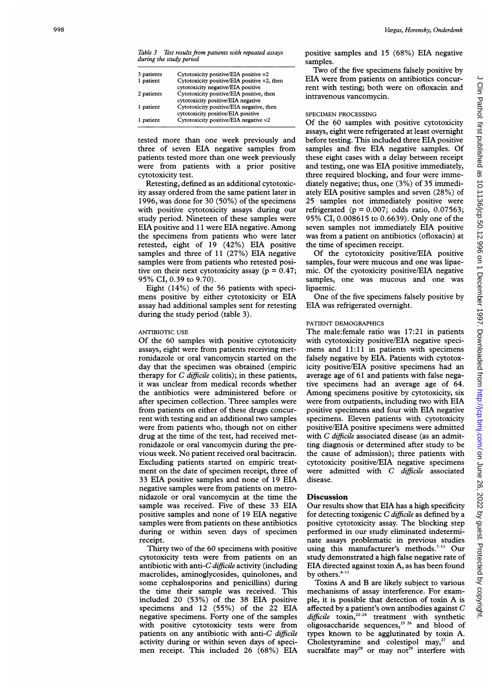Table 3 Test results from patients with repeated assays during the study period

| 3 patients | Cytotoxicity positive/EIA positive $\times 2$                                              |
|------------|--------------------------------------------------------------------------------------------|
| 1 patient  | Cytotoxicity positive/EIA positive $\times 2$ , then<br>cytotoxicity negative/EIA positive |
| 2 patients | Cytotoxicity positive/EIA positive, then<br>cytotoxicity positive/EIA negative             |
| 1 patient  | Cytotoxicity positive/EIA negative, then<br>cytotoxicity positive/EIA positive             |
| 1 patient  | Cytotoxicity positive/EIA negative $\times 2$                                              |

tested more than one week previously and three of seven EIA negative samples from patients tested more than one week previously were from patients with a prior positive cytotoxicity test.

Retesting, defined as an additional cytotoxicity assay ordered from the same patient later in 1996, was done for 30 (50%) of the specimens with positive cytotoxicity assays during our study period. Nineteen of these samples were EIA positive and <sup>11</sup> were EIA negative. Among the specimens from patients who were later retested, eight of 19 (42%) EIA positive samples and three of 11 (27%) EIA negative samples were from patients who retested positive on their next cytotoxicity assay ( $p = 0.47$ ; 95% CI, 0.39 to 9.70).

Eight (14%) of the 56 patients with specimens positive by either cytotoxicity or EIA assay had additional samples sent for retesting during the study period (table 3).

### ANTIBIOTIC USE

Of the 60 samples with positive cytotoxicity assays, eight were from patients receiving metronidazole or oral vancomycin started on the day that the specimen was obtained (empiric therapy for C difficile colitis); in these patients, it was unclear from medical records whether the antibiotics were administered before or after specimen collection. Three samples were from patients on either of these drugs concurrent with testing and an additional two samples were from patients who, though not on either drug at the time of the test, had received metronidazole or oral vancomycin during the previous week. No patient received oral bacitracin. Excluding patients started on empiric treatment on the date of specimen receipt, three of 33 EIA positive samples and none of 19 EIA negative samples were from patients on metronidazole or oral vancomycin at the time the sample was received. Five of these 33 EIA positive samples and none of 19 EIA negative samples were from patients on these antibiotics during or within seven days of specimen receipt.

Thirty two of the 60 specimens with positive cytotoxicity tests were from patients on an antibiotic with anti-C  $difficile$  activity (including macrolides, aminoglycosides, quinolones, and some cephalosporins and penicillins) during the time their sample was received. This included 20 (53%) of the 38 EIA positive specimens and 12 (55%) of the 22 EIA negative specimens. Forty one of the samples with positive cytotoxicity tests were from patients on any antibiotic with anti-C difficile activity during or within seven days of specimen receipt. This included 26 (68%) EIA

positive samples and 15 (68%) EIA negative samples.

Two of the five specimens falsely positive by EIA were from patients on antibiotics concurrent with testing; both were on ofloxacin and intravenous vancomycin.

# SPECIMEN PROCESSING

Of the 60 samples with positive cytotoxicity assays, eight were refrigerated at least overnight before testing. This included three EIA positive samples and five EIA negative samples. Of these eight cases with a delay between receipt and testing, one was EIA positive immediately, three required blocking, and four were immediately negative; thus, one (3%) of 35 immediately EIA positive samples and seven (28%) of 25 samples not immediately positive were refrigerated ( $p = 0.007$ ; odds ratio,  $0.07563$ ; 95% CI, 0.008615 to 0.6639). Only one of the seven samples not immediately EIA positive was from a patient on antibiotics (ofloxacin) at the time of specimen receipt.

Of the cytotoxicity positive/EIA positive samples, four were mucous and one was lipaemic. Of the cyotoxicity positive/EIA negative samples, one was mucous and one was lipaemic.

One of the five specimens falsely positive by EIA was refrigerated overnight.

### PATIENT DEMOGRAPHICS

The male:female ratio was 17:21 in patients with cytotoxicity positive/EIA negative specimens and 11:11 in patients with specimens falsely negative by EIA. Patients with cytotoxicity positive/EIA positive specimens had an average age of 61 and patients with false negative specimens had an average age of 64. Among specimens positive by cytotoxicity, six were from outpatients, including two with EIA positive specimens and four with EIA negative specimens. Eleven patients with cytotoxicity positive/EIA positive specimens were admitted with C difficile associated disease (as an admitting diagnosis or determined after study to be the cause of admission); three patients with cytotoxicity positive/EIA negative specimens were admitted with C difficile associated disease.

### **Discussion**

Our results show that EIA has a high specificity for detecting toxigenic C difficile as defined by a positive cytotoxicity assay. The blocking step performed in our study eliminated indeterminate assays problematic in previous studies using this manufacturer's methods.<sup>7-11</sup> Our study demonstrated a high false negative rate of EIA directed against toxin A, as has been found by others.<sup>6-11</sup>

Toxins A and B are likely subject to various mechanisms of assay interference. For example, it is possible that detection of toxin A is affected by a patient's own antibodies against C  $\partial$ *difficile* toxin,<sup>22-24</sup> treatment with synthetic oligosaccharide sequences,<sup>25,26</sup> and blood of types known to be agglutinated by toxin A. Cholestyramine and colestipol  $\text{max}^2$  and sucralfate may<sup>28</sup> or may not<sup>29</sup> interfere with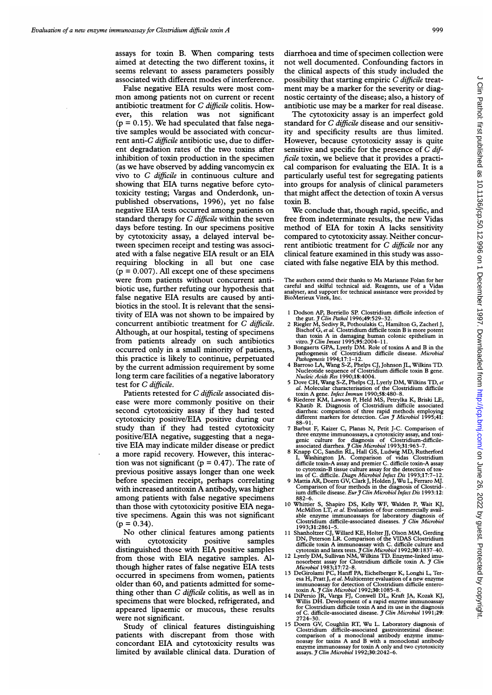assays for toxin B. When comparing tests aimed at detecting the two different toxins, it seems relevant to assess parameters possibly associated with different modes of interference.

False negative EIA results were most common among patients not on current or recent antibiotic treatment for C difficile colitis. However, this relation was not significant  $(p = 0.15)$ . We had speculated that false negative samples would be associated with concurrent anti-C difficile antibiotic use, due to different degradation rates of the two toxins after inhibition of toxin production in the specimen (as we have observed by adding vancomycin ex vivo to C difficile in continuous culture and showing that EIA turns negative before cytotoxicity testing; Vargas and Onderdonk, unpublished observations, 1996), yet no false negative EIA tests occurred among patients on standard therapy for  $C$  difficile within the seven days before testing. In our specimens positive by cytotoxicity assay, a delayed interval between specimen receipt and testing was associated with a false negative EIA result or an EIA requiring blocking in all but one case  $(p = 0.007)$ . All except one of these specimens were from patients without concurrent antibiotic use, further refuting our hypothesis that false negative EIA results are caused by antibiotics in the stool. It is relevant that the sensitivity of EIA was not shown to be impaired by concurrent antibiotic treatment for C difficile. Although, at our hospital, testing of specimens from patients already on such antibiotics occurred only in a small minority of patients, this practice is likely to continue, perpetuated by the current admission requirement by some long term care facilities of a negative laboratory test for C difficile.

Patients retested for C difficile associated disease were more commonly positive on their second cytotoxicity assay if they had tested cytotoxicity positive/EIA positive during our study than if they had tested cytotoxicity positive/EIA negative, suggesting that a negative EIA may indicate milder disease or predict a more rapid recovery. However, this interaction was not significant ( $p = 0.47$ ). The rate of previous positive assays longer than one week before specimen receipt, perhaps correlating with increased antitoxin A antibody, was higher among patients with false negative specimens than those with cytotoxicity positive EIA negative specimens. Again this was not significant  $(p = 0.34)$ .

No other clinical features among patients with cytotoxicity positive samples distinguished those with EIA positive samples from those with EIA negative samples. Although higher rates of false negative EIA tests occurred in specimens from women, patients older than 60, and patients admitted for something other than  $C$  difficile colitis, as well as in specimens that were blocked, refrigerated, and appeared lipaemic or mucous, these results were not significant.

Study of clinical features distinguishing patients with discrepant from those with concordant EIA and cytotoxicity results was limited by available clinical data. Duration of diarrhoea and time of specimen collection were not well documented. Confounding factors in the clinical aspects of this study included the possibility that starting empiric C difficile treatment may be a marker for the severity or diagnostic certainty of the disease; also, a history of antibiotic use may be a marker for real disease.

The cytotoxicity assay is an imperfect gold standard for C difficile disease and our sensitivity and specificity results are thus limited. However, because cytotoxicity assay is quite sensitive and specific for the presence of C difficile toxin, we believe that it provides a practical comparison for evaluating the EIA. It is a particularly useful test for segregating patients into groups for analysis of clinical parameters that might affect the detection of toxin A versus toxin B.

We conclude that, though rapid, specific, and free from indeterminate results, the new Vidas method of EIA for toxin A lacks sensitivity compared to cytotoxicity assay. Neither concurrent antibiotic treatment for  $C$  difficile nor any clinical feature examined in this study was associated with false negative EIA by this method.

The authors extend their thanks to Ms Marianne Folan for her careful and skilful technical aid. Reagents, use of a Vidas analyser, and support for technical assistance were provided by BioMerieux Vitek, Inc.

- <sup>1</sup> Dodson AP, Borriello SP. Clostridium difficile infection of
- the gut. *J Clin Pathol* 1996;49:529–32.<br>2 Riegler M, Sedivy R, Pothoulakis C, Hamilton G, Zacherl J, Bischof G, et al. Clostridium difficile toxin B is more potent than toxin A in damaging human colonic epithelium in vitro. *J Clin Invest* 1995;95:2004–11.
- <sup>3</sup> Bongaerts GPA, Lyerly DM. Role of toxins A and B in the pathogenesis of Clostridium difficile disease. Microbial Pathogenesis 1994;17:1-12.
- 4 Barroso LA, Wang S-Z, Phelps CJ, Johnson JL, Wilkins TD. Nucleotide sequence of Clostridium difficile toxin B gene.
- Nucleic Acids Res 1990;18:4004.<br>
5 Dove CH, Wang S-Z, Phelps CJ, Lyerly DM, Wilkins TD, et<br>
al. Molecular characterisation of the Clostridium difficile<br>
toxin A gene. *Infect Immun* 1990;58:480–8.
- 6 Riederer KM, Lawson P, Held MS, Petrylka K, Briski LE, Khatib R. Diagnosis of Clostridium difficile associated diarrhea: comparison of three rapid methods employing different markers for detection. *Can J Microbiol* 1995 88-91.
- Barbut F, Kaizer C, Planas N, Petit J-C. Comparison of three enzyme immunoassays, a cytotoxicity assay, and toxi-<br>genic culture for diagnosis of Clostridium-difficile-<br>associated diarrhea. *J Clin Microbiol* 1993;31:963-7.<br>8 Knapp CC, Sandin RL, Hall GS, Ludwig MD, Rutherford<br>
- 
- to cytotoxin-B tissue culture assay for the detection of tox-<br>ins of C. difficile. Diagn Microbiol Infect Dis 1993;17:7-12.<br>Mattia AR, Doern GV, Clark J, Holden J, Wu L, Ferraro MJ.<br>Comparison of four methods in the diagno ium difficile disease. Eur J Clin Microbiol Infect Dis 1993:12: 882-6.
- 10 Whittier S, Shapiro DS, Kelly WF, Walden P, Wait KJ, McMillon LT, et al. Evaluation of four commercially available enzyme immunoassays for laboratory diagnosis of<br>Clostridium difficile-associated diseases. J *Clin Microbiol*
- 1993;31:2861-5.<br>
Shanboltzer CJ, Willard KE, Holter JJ, Olson MM, Gerding<br>
DN, Peterson LR. Comparison of the VIDAS Clostridium<br>
difficile toxin A immunosasy with C. difficile culture and<br>
cytotoxin and latex tests. *3 Cli*
- nosorbent assay for Clostridium difficile toxin A. J Clin<br>Microbiol 1983;17:72–8.
- 
- 13 DeGirolami PC, Hanff PA, Eichelberger K, Longhi L, Teresa H, Pratt J, et al. Multicenter evaluation of a new enzyme immunoassay for detection of Clostridium difficile entero-<br>toxin A.  $\mathcal{J}$ Clin Microbiol 1992;30:108
- 2724–30.<br>I5 Doern GV, Coughlin RT, Wu L. Laboratory diagnosis of<br>Clostridium difficile-associated gastrointestinal disease:<br>comparison of a monoclonal antibody enzyme immu-<br>noasay for taxins A and B with a monoclonal antib assays. *J Clin Microbiol* 1992;30:2042-6.